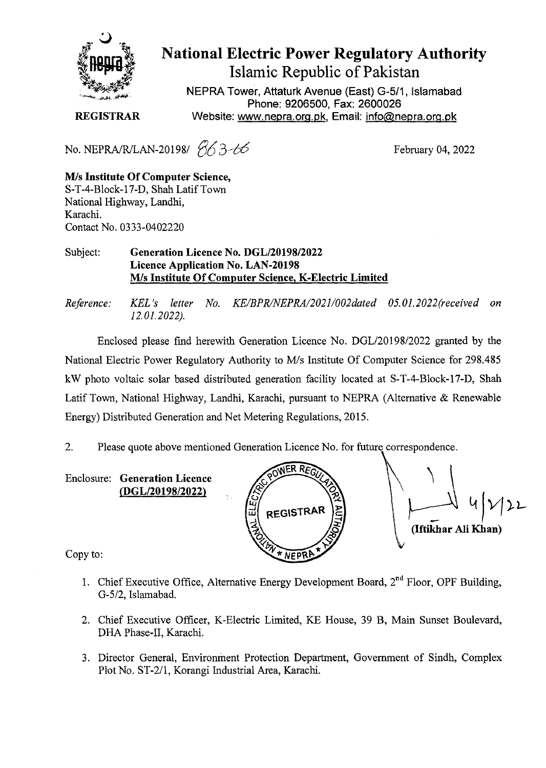

## **National Electric Power Regulatory Authority** Islamic Republic of Pakistan

NEPRA Tower, Attaturk Avenue (East) G-5/1, Islamabad Phone: 9206500, Fax: 2600026 REGISTRAR Website: www.nepra.org.pk, Email: info@nepra.org.pk

No. *NEPRA/R/LAN-20198/*  $\frac{6}{5}$  *3-66* February 04, 2022

*Mis* Institute Of Computer Science, S-T-4-Block-17-D, Shah Latif Town National Highway, Landhi, Karachi. Contact No. 0333-0402220

## Subject: Generation Licence No. DGL/20198/2022 Licence Application No. LAN-20198 *MIs* Institute Of Computer Science, K-Electric Limited

*Reference: KEL's letter No. KEIBPRlNEPRAl20211002dated OS.01.2022(received on 12.01.2022).*

Enclosed please find herewith Generation Licence No. DGL/20198/2022 granted by the National Electric Power Regulatory Authority to M/s Institute Of Computer Science for 298.485 kW photo voltaic solar based distributed generation facility located at S-T-4-Block-17-D, Shah Latif Town, National Highway, Landhi, Karachi, pursuant to NEPRA (Alternative & Renewable Energy) Distributed Generation and Net Metering Regulations, 2015.

2. Please quote above mentioned Generation Licence No. for future correspondence.

Enclosure: Generation Licence



 $\downarrow$  4/22 (Iftikhar Ali Khan)

Copy to:

- 1. Chief Executive Office, Alternative Energy Development Board,  $2<sup>nd</sup>$  Floor, OPF Building, G-5/2, Islamabad.
- 2. Chief Executive Officer, K-Electric Limited, KE House, 39 B, Main Sunset Boulevard, DHA Phase-II, Karachi.
- 3. Director General, Environment Protection Department, Government of Sindh, Complex Plot No. ST-2/1, Korangi Industrial Area, Karachi.